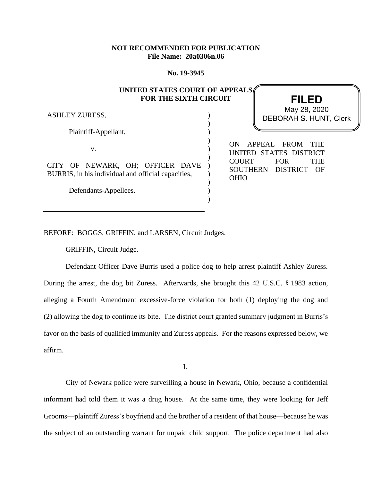## **NOT RECOMMENDED FOR PUBLICATION File Name: 20a0306n.06**

**No. 19-3945**

# **UNITED STATES COURT OF APPEALS FOR THE SIXTH CIRCUIT**

) ) ) ) ) ) ) ) ) ) )

ASHLEY ZURESS,

Plaintiff-Appellant,

v.

CITY OF NEWARK, OH; OFFICER DAVE BURRIS, in his individual and official capacities,

Defendants-Appellees.

ON APPEAL FROM THE UNITED STATES DISTRICT COURT FOR THE

**FILED**

DEBORAH S. HUNT, Clerk May 28, 2020

SOUTHERN DISTRICT OF

OHIO

BEFORE: BOGGS, GRIFFIN, and LARSEN, Circuit Judges.

GRIFFIN, Circuit Judge.

Defendant Officer Dave Burris used a police dog to help arrest plaintiff Ashley Zuress. During the arrest, the dog bit Zuress. Afterwards, she brought this 42 U.S.C. § 1983 action, alleging a Fourth Amendment excessive-force violation for both (1) deploying the dog and (2) allowing the dog to continue its bite. The district court granted summary judgment in Burris's favor on the basis of qualified immunity and Zuress appeals. For the reasons expressed below, we affirm.

I.

City of Newark police were surveilling a house in Newark, Ohio, because a confidential informant had told them it was a drug house. At the same time, they were looking for Jeff Grooms—plaintiff Zuress's boyfriend and the brother of a resident of that house—because he was the subject of an outstanding warrant for unpaid child support. The police department had also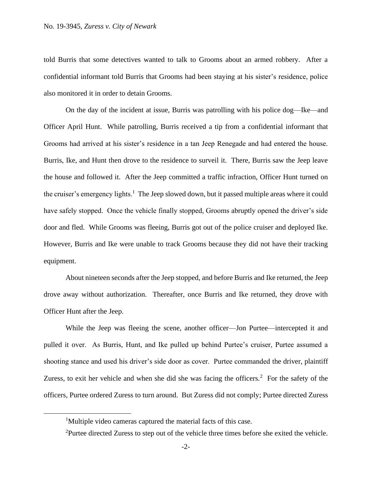told Burris that some detectives wanted to talk to Grooms about an armed robbery. After a confidential informant told Burris that Grooms had been staying at his sister's residence, police also monitored it in order to detain Grooms.

On the day of the incident at issue, Burris was patrolling with his police dog—Ike—and Officer April Hunt. While patrolling, Burris received a tip from a confidential informant that Grooms had arrived at his sister's residence in a tan Jeep Renegade and had entered the house. Burris, Ike, and Hunt then drove to the residence to surveil it. There, Burris saw the Jeep leave the house and followed it. After the Jeep committed a traffic infraction, Officer Hunt turned on the cruiser's emergency lights.<sup>1</sup> The Jeep slowed down, but it passed multiple areas where it could have safely stopped. Once the vehicle finally stopped, Grooms abruptly opened the driver's side door and fled. While Grooms was fleeing, Burris got out of the police cruiser and deployed Ike. However, Burris and Ike were unable to track Grooms because they did not have their tracking equipment.

About nineteen seconds after the Jeep stopped, and before Burris and Ike returned, the Jeep drove away without authorization. Thereafter, once Burris and Ike returned, they drove with Officer Hunt after the Jeep.

While the Jeep was fleeing the scene, another officer—Jon Purtee—intercepted it and pulled it over. As Burris, Hunt, and Ike pulled up behind Purtee's cruiser, Purtee assumed a shooting stance and used his driver's side door as cover. Purtee commanded the driver, plaintiff Zuress, to exit her vehicle and when she did she was facing the officers.<sup>2</sup> For the safety of the officers, Purtee ordered Zuress to turn around. But Zuress did not comply; Purtee directed Zuress

<sup>&</sup>lt;sup>1</sup>Multiple video cameras captured the material facts of this case.

<sup>&</sup>lt;sup>2</sup>Purtee directed Zuress to step out of the vehicle three times before she exited the vehicle.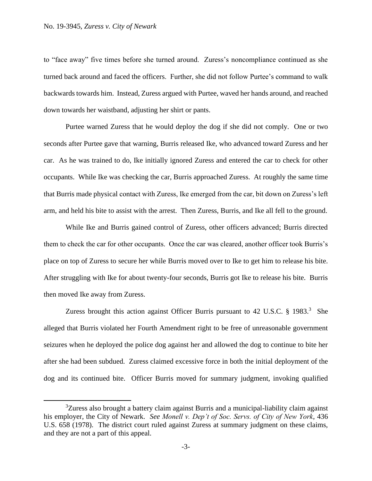to "face away" five times before she turned around. Zuress's noncompliance continued as she turned back around and faced the officers. Further, she did not follow Purtee's command to walk backwards towards him. Instead, Zuress argued with Purtee, waved her hands around, and reached down towards her waistband, adjusting her shirt or pants.

Purtee warned Zuress that he would deploy the dog if she did not comply. One or two seconds after Purtee gave that warning, Burris released Ike, who advanced toward Zuress and her car. As he was trained to do, Ike initially ignored Zuress and entered the car to check for other occupants. While Ike was checking the car, Burris approached Zuress. At roughly the same time that Burris made physical contact with Zuress, Ike emerged from the car, bit down on Zuress's left arm, and held his bite to assist with the arrest. Then Zuress, Burris, and Ike all fell to the ground.

While Ike and Burris gained control of Zuress, other officers advanced; Burris directed them to check the car for other occupants. Once the car was cleared, another officer took Burris's place on top of Zuress to secure her while Burris moved over to Ike to get him to release his bite. After struggling with Ike for about twenty-four seconds, Burris got Ike to release his bite. Burris then moved Ike away from Zuress.

Zuress brought this action against Officer Burris pursuant to 42 U.S.C. § 1983.<sup>3</sup> She alleged that Burris violated her Fourth Amendment right to be free of unreasonable government seizures when he deployed the police dog against her and allowed the dog to continue to bite her after she had been subdued. Zuress claimed excessive force in both the initial deployment of the dog and its continued bite. Officer Burris moved for summary judgment, invoking qualified

<sup>&</sup>lt;sup>3</sup>Zuress also brought a battery claim against Burris and a municipal-liability claim against his employer, the City of Newark. *See Monell v. Dep't of Soc. Servs. of City of New York*, 436 U.S. 658 (1978). The district court ruled against Zuress at summary judgment on these claims, and they are not a part of this appeal.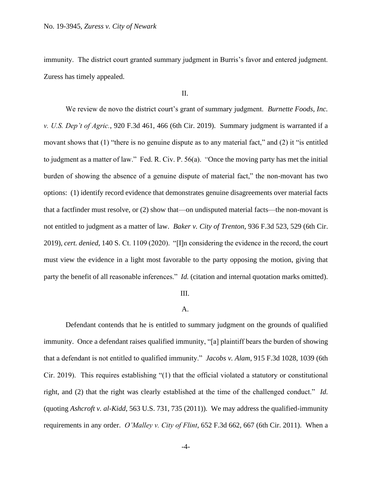immunity. The district court granted summary judgment in Burris's favor and entered judgment. Zuress has timely appealed.

### II.

We review de novo the district court's grant of summary judgment. *Burnette Foods, Inc. v. U.S. Dep't of Agric.*, 920 F.3d 461, 466 (6th Cir. 2019). Summary judgment is warranted if a movant shows that (1) "there is no genuine dispute as to any material fact," and (2) it "is entitled to judgment as a matter of law." Fed. R. Civ. P. 56(a). "Once the moving party has met the initial burden of showing the absence of a genuine dispute of material fact," the non-movant has two options: (1) identify record evidence that demonstrates genuine disagreements over material facts that a factfinder must resolve, or (2) show that—on undisputed material facts—the non-movant is not entitled to judgment as a matter of law. *Baker v. City of Trenton*, 936 F.3d 523, 529 (6th Cir. 2019), *cert. denied*, 140 S. Ct. 1109 (2020). "[I]n considering the evidence in the record, the court must view the evidence in a light most favorable to the party opposing the motion, giving that party the benefit of all reasonable inferences." *Id.* (citation and internal quotation marks omitted).

#### III.

### A.

Defendant contends that he is entitled to summary judgment on the grounds of qualified immunity. Once a defendant raises qualified immunity, "[a] plaintiff bears the burden of showing that a defendant is not entitled to qualified immunity." *Jacobs v. Alam*, 915 F.3d 1028, 1039 (6th Cir. 2019). This requires establishing "(1) that the official violated a statutory or constitutional right, and (2) that the right was clearly established at the time of the challenged conduct." *Id.* (quoting *Ashcroft v. al-Kidd*, 563 U.S. 731, 735 (2011)). We may address the qualified-immunity requirements in any order. *O'Malley v. City of Flint*, 652 F.3d 662, 667 (6th Cir. 2011). When a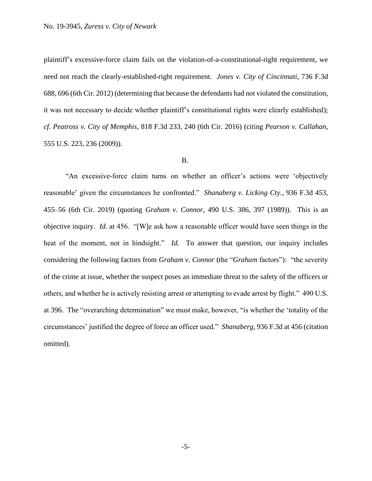plaintiff's excessive-force claim fails on the violation-of-a-constitutional-right requirement, we need not reach the clearly-established-right requirement. *Jones v. City of Cincinnati*, 736 F.3d 688, 696 (6th Cir. 2012) (determining that because the defendants had not violated the constitution, it was not necessary to decide whether plaintiff's constitutional rights were clearly established); *cf. Peatross v. City of Memphis*, 818 F.3d 233, 240 (6th Cir. 2016) (citing *Pearson v. Callahan*, 555 U.S. 223, 236 (2009)).

## B.

"An excessive-force claim turns on whether an officer's actions were 'objectively reasonable' given the circumstances he confronted." *Shanaberg v. Licking Cty.*, 936 F.3d 453, 455–56 (6th Cir. 2019) (quoting *Graham v. Connor*, 490 U.S. 386, 397 (1989)). This is an objective inquiry. *Id.* at 456. "[W]e ask how a reasonable officer would have seen things in the heat of the moment, not in hindsight." *Id.* To answer that question, our inquiry includes considering the following factors from *Graham v. Connor* (the "*Graham* factors"): "the severity of the crime at issue, whether the suspect poses an immediate threat to the safety of the officers or others, and whether he is actively resisting arrest or attempting to evade arrest by flight." 490 U.S. at 396. The "overarching determination" we must make, however, "is whether the 'totality of the circumstances' justified the degree of force an officer used." *Shanaberg*, 936 F.3d at 456 (citation omitted).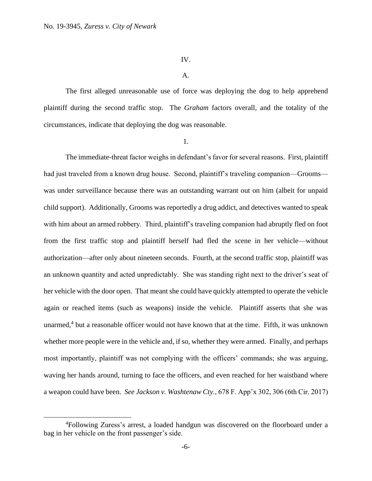### IV.

## A.

The first alleged unreasonable use of force was deploying the dog to help apprehend plaintiff during the second traffic stop. The *Graham* factors overall, and the totality of the circumstances, indicate that deploying the dog was reasonable.

1.

The immediate-threat factor weighs in defendant's favor for several reasons. First, plaintiff had just traveled from a known drug house. Second, plaintiff's traveling companion—Grooms was under surveillance because there was an outstanding warrant out on him (albeit for unpaid child support). Additionally, Grooms was reportedly a drug addict, and detectives wanted to speak with him about an armed robbery. Third, plaintiff's traveling companion had abruptly fled on foot from the first traffic stop and plaintiff herself had fled the scene in her vehicle—without authorization—after only about nineteen seconds. Fourth, at the second traffic stop, plaintiff was an unknown quantity and acted unpredictably. She was standing right next to the driver's seat of her vehicle with the door open. That meant she could have quickly attempted to operate the vehicle again or reached items (such as weapons) inside the vehicle. Plaintiff asserts that she was unarmed,<sup>4</sup> but a reasonable officer would not have known that at the time. Fifth, it was unknown whether more people were in the vehicle and, if so, whether they were armed. Finally, and perhaps most importantly, plaintiff was not complying with the officers' commands; she was arguing, waving her hands around, turning to face the officers, and even reached for her waistband where a weapon could have been. *See Jackson v. Washtenaw Cty.*, 678 F. App'x 302, 306 (6th Cir. 2017)

<sup>4</sup>Following Zuress's arrest, a loaded handgun was discovered on the floorboard under a bag in her vehicle on the front passenger's side.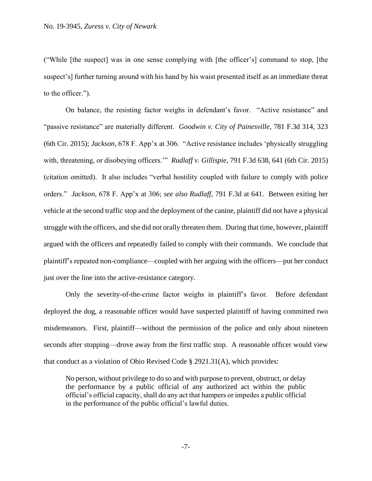("While [the suspect] was in one sense complying with [the officer's] command to stop, [the suspect's] further turning around with his hand by his waist presented itself as an immediate threat to the officer.").

On balance, the resisting factor weighs in defendant's favor. "Active resistance" and "passive resistance" are materially different. *Goodwin v. City of Painesville*, 781 F.3d 314, 323 (6th Cir. 2015); *Jackson*, 678 F. App'x at 306. "Active resistance includes 'physically struggling with, threatening, or disobeying officers.'" *Rudlaff v. Gillispie*, 791 F.3d 638, 641 (6th Cir. 2015) (citation omitted). It also includes "verbal hostility coupled with failure to comply with police orders." *Jackson*, 678 F. App'x at 306; *see also Rudlaff*, 791 F.3d at 641. Between exiting her vehicle at the second traffic stop and the deployment of the canine, plaintiff did not have a physical struggle with the officers, and she did not orally threaten them. During that time, however, plaintiff argued with the officers and repeatedly failed to comply with their commands. We conclude that plaintiff's repeated non-compliance—coupled with her arguing with the officers—put her conduct just over the line into the active-resistance category.

Only the severity-of-the-crime factor weighs in plaintiff's favor. Before defendant deployed the dog, a reasonable officer would have suspected plaintiff of having committed two misdemeanors. First, plaintiff—without the permission of the police and only about nineteen seconds after stopping—drove away from the first traffic stop. A reasonable officer would view that conduct as a violation of Ohio Revised Code  $\S 2921.31(A)$ , which provides:

No person, without privilege to do so and with purpose to prevent, obstruct, or delay the performance by a public official of any authorized act within the public official's official capacity, shall do any act that hampers or impedes a public official in the performance of the public official's lawful duties.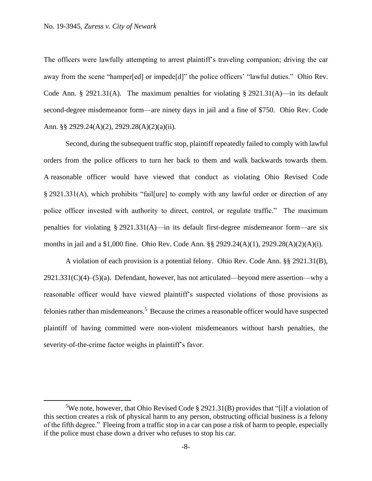The officers were lawfully attempting to arrest plaintiff's traveling companion; driving the car away from the scene "hamper[ed] or impede[d]" the police officers' "lawful duties." Ohio Rev. Code Ann. § 2921.31(A). The maximum penalties for violating § 2921.31(A)—in its default second-degree misdemeanor form—are ninety days in jail and a fine of \$750. Ohio Rev. Code Ann. §§ 2929.24(A)(2), 2929.28(A)(2)(a)(ii).

Second, during the subsequent traffic stop, plaintiff repeatedly failed to comply with lawful orders from the police officers to turn her back to them and walk backwards towards them. A reasonable officer would have viewed that conduct as violating Ohio Revised Code § 2921.331(A), which prohibits "fail[ure] to comply with any lawful order or direction of any police officer invested with authority to direct, control, or regulate traffic." The maximum penalties for violating § 2921.331(A)—in its default first-degree misdemeanor form—are six months in jail and a \$1,000 fine. Ohio Rev. Code Ann. §§ 2929.24(A)(1), 2929.28(A)(2)(A)(i).

A violation of each provision is a potential felony. Ohio Rev. Code Ann. §§ 2921.31(B),  $2921.331(C)(4)–(5)(a)$ . Defendant, however, has not articulated—beyond mere assertion—why a reasonable officer would have viewed plaintiff's suspected violations of those provisions as felonies rather than misdemeanors.<sup>5</sup> Because the crimes a reasonable officer would have suspected plaintiff of having committed were non-violent misdemeanors without harsh penalties, the severity-of-the-crime factor weighs in plaintiff's favor.

<sup>&</sup>lt;sup>5</sup>We note, however, that Ohio Revised Code § 2921.31(B) provides that "[i]f a violation of this section creates a risk of physical harm to any person, obstructing official business is a felony of the fifth degree." Fleeing from a traffic stop in a car can pose a risk of harm to people, especially if the police must chase down a driver who refuses to stop his car.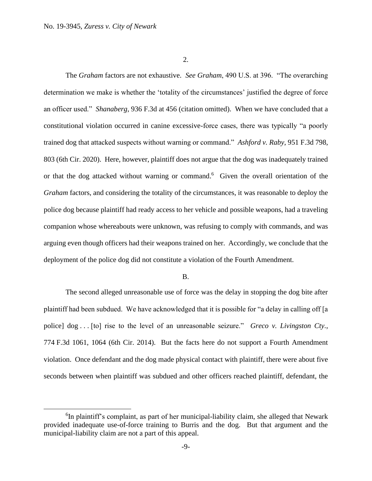2.

The *Graham* factors are not exhaustive. *See Graham*, 490 U.S. at 396. "The overarching determination we make is whether the 'totality of the circumstances' justified the degree of force an officer used." *Shanaberg*, 936 F.3d at 456 (citation omitted). When we have concluded that a constitutional violation occurred in canine excessive-force cases, there was typically "a poorly trained dog that attacked suspects without warning or command." *Ashford v. Raby*, 951 F.3d 798, 803 (6th Cir. 2020). Here, however, plaintiff does not argue that the dog was inadequately trained or that the dog attacked without warning or command. 6 Given the overall orientation of the *Graham* factors, and considering the totality of the circumstances, it was reasonable to deploy the police dog because plaintiff had ready access to her vehicle and possible weapons, had a traveling companion whose whereabouts were unknown, was refusing to comply with commands, and was arguing even though officers had their weapons trained on her. Accordingly, we conclude that the deployment of the police dog did not constitute a violation of the Fourth Amendment.

### B.

The second alleged unreasonable use of force was the delay in stopping the dog bite after plaintiff had been subdued. We have acknowledged that it is possible for "a delay in calling off [a police] dog . . . [to] rise to the level of an unreasonable seizure." *Greco v. Livingston Cty.*, 774 F.3d 1061, 1064 (6th Cir. 2014). But the facts here do not support a Fourth Amendment violation. Once defendant and the dog made physical contact with plaintiff, there were about five seconds between when plaintiff was subdued and other officers reached plaintiff, defendant, the

 ${}^{6}$ In plaintiff's complaint, as part of her municipal-liability claim, she alleged that Newark provided inadequate use-of-force training to Burris and the dog. But that argument and the municipal-liability claim are not a part of this appeal.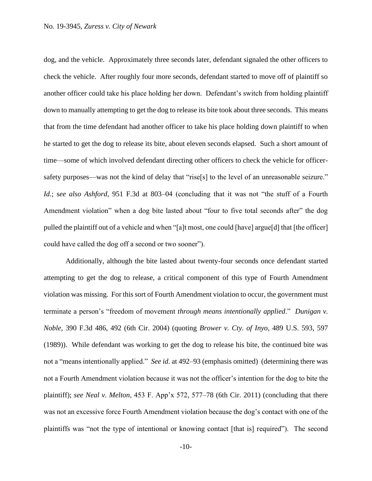dog, and the vehicle. Approximately three seconds later, defendant signaled the other officers to check the vehicle. After roughly four more seconds, defendant started to move off of plaintiff so another officer could take his place holding her down. Defendant's switch from holding plaintiff down to manually attempting to get the dog to release its bite took about three seconds. This means that from the time defendant had another officer to take his place holding down plaintiff to when he started to get the dog to release its bite, about eleven seconds elapsed. Such a short amount of time—some of which involved defendant directing other officers to check the vehicle for officersafety purposes—was not the kind of delay that "rise[s] to the level of an unreasonable seizure." *Id.*; s*ee also Ashford*, 951 F.3d at 803–04 (concluding that it was not "the stuff of a Fourth Amendment violation" when a dog bite lasted about "four to five total seconds after" the dog pulled the plaintiff out of a vehicle and when "[a]t most, one could [have] argue[d] that [the officer] could have called the dog off a second or two sooner").

Additionally, although the bite lasted about twenty-four seconds once defendant started attempting to get the dog to release, a critical component of this type of Fourth Amendment violation was missing. For this sort of Fourth Amendment violation to occur, the government must terminate a person's "freedom of movement *through means intentionally applied*." *Dunigan v. Noble*, 390 F.3d 486, 492 (6th Cir. 2004) (quoting *Brower v. Cty. of Inyo*, 489 U.S. 593, 597 (1989)). While defendant was working to get the dog to release his bite, the continued bite was not a "means intentionally applied." *See id.* at 492–93 (emphasis omitted) (determining there was not a Fourth Amendment violation because it was not the officer's intention for the dog to bite the plaintiff); *see Neal v. Melton*, 453 F. App'x 572, 577–78 (6th Cir. 2011) (concluding that there was not an excessive force Fourth Amendment violation because the dog's contact with one of the plaintiffs was "not the type of intentional or knowing contact [that is] required"). The second